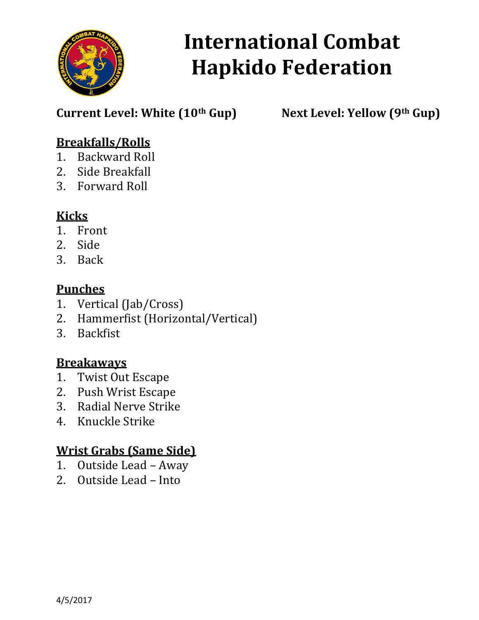

Current Level: White (10<sup>th</sup> Gup) Next Level: Yellow (9<sup>th</sup> Gup)

### Breakfalls/Rolls

- 1. Backward Roll
- 2. Side Breakfall
- 3. Forward Roll

# **Kicks**

- 1. Front
- 2. Side
- 3. Back

#### **Punches**

- 1. Vertical (Jab/Cross)
- 2. Hammerfist (Horizontal/Vertical)
- 3. Backfist

### **Breakaways**

- 1. Twist Out Escape
- 2. Push Wrist Escape
- 3. Radial Nerve Strike
- 4. Knuckle Strike

### Wrist Grabs (Same Side)

- 1. Outside Lead Away
- 2. Outside Lead Into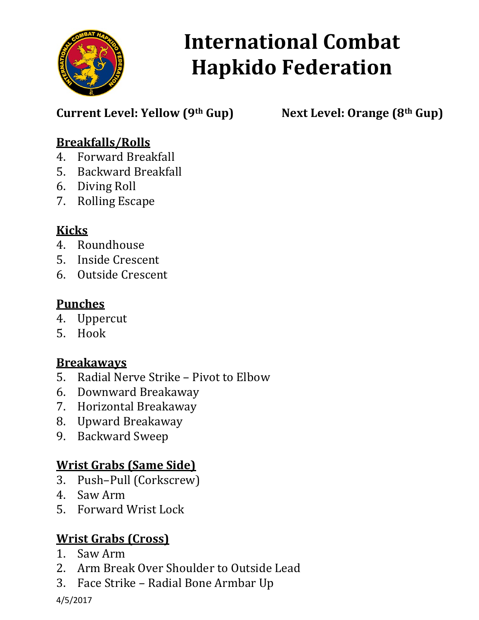

Current Level: Yellow  $(9<sup>th</sup> Gup)$  Next Level: Orange  $(8<sup>th</sup> Gup)$ 

### Breakfalls/Rolls

- 4. Forward Breakfall
- 5. Backward Breakfall
- 6. Diving Roll
- 7. Rolling Escape

# Kicks

- 4. Roundhouse
- 5. Inside Crescent
- 6. Outside Crescent

### **Punches**

- 4. Uppercut
- 5. Hook

# **Breakaways**

- 5. Radial Nerve Strike Pivot to Elbow
- 6. Downward Breakaway
- 7. Horizontal Breakaway
- 8. Upward Breakaway
- 9. Backward Sweep

# Wrist Grabs (Same Side)

- 3. Push–Pull (Corkscrew)
- 4. Saw Arm
- 5. Forward Wrist Lock

# Wrist Grabs (Cross)

- 1. Saw Arm
- 2. Arm Break Over Shoulder to Outside Lead
- 3. Face Strike Radial Bone Armbar Up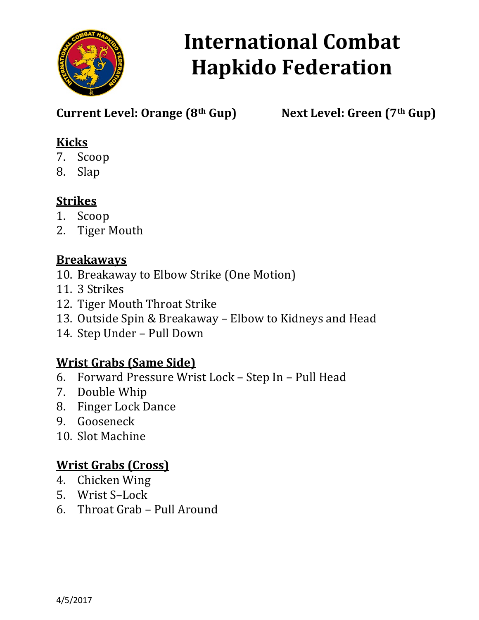

Current Level: Orange  $(8<sup>th</sup> Gup)$  Next Level: Green  $(7<sup>th</sup> Gup)$ 

# Kicks

- 7. Scoop
- 8. Slap

# **Strikes**

- 1. Scoop
- 2. Tiger Mouth

### **Breakaways**

- 10. Breakaway to Elbow Strike (One Motion)
- 11. 3 Strikes
- 12. Tiger Mouth Throat Strike
- 13. Outside Spin & Breakaway Elbow to Kidneys and Head
- 14. Step Under Pull Down

# Wrist Grabs (Same Side)

- 6. Forward Pressure Wrist Lock Step In Pull Head
- 7. Double Whip
- 8. Finger Lock Dance
- 9. Gooseneck
- 10. Slot Machine

# Wrist Grabs (Cross)

- 4. Chicken Wing
- 5. Wrist S–Lock
- 6. Throat Grab Pull Around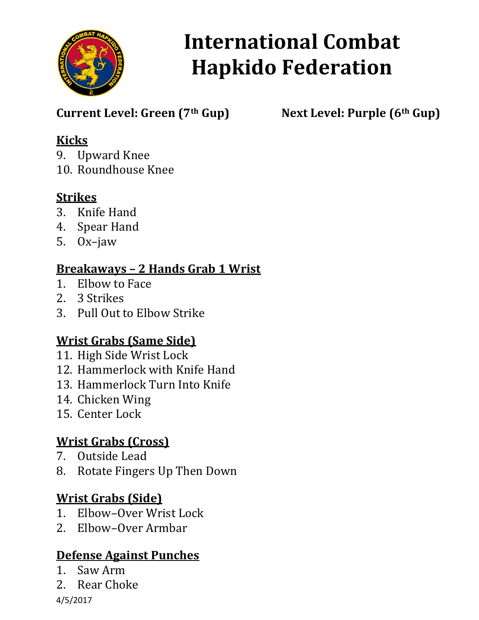

Current Level: Green (7<sup>th</sup> Gup) Next Level: Purple (6<sup>th</sup> Gup)

### Kicks

9. Upward Knee

10. Roundhouse Knee

# **Strikes**

- 3. Knife Hand
- 4. Spear Hand
- 5. Ox–jaw

### Breakaways – 2 Hands Grab 1 Wrist

- 1. Elbow to Face
- 2. 3 Strikes
- 3. Pull Out to Elbow Strike

# Wrist Grabs (Same Side)

- 11. High Side Wrist Lock
- 12. Hammerlock with Knife Hand
- 13. Hammerlock Turn Into Knife
- 14. Chicken Wing
- 15. Center Lock

# Wrist Grabs (Cross)

- 7. Outside Lead
- 8. Rotate Fingers Up Then Down

# Wrist Grabs (Side)

- 1. Elbow–Over Wrist Lock
- 2. Elbow–Over Armbar

# Defense Against Punches

- 1. Saw Arm
- 2. Rear Choke

4/5/2017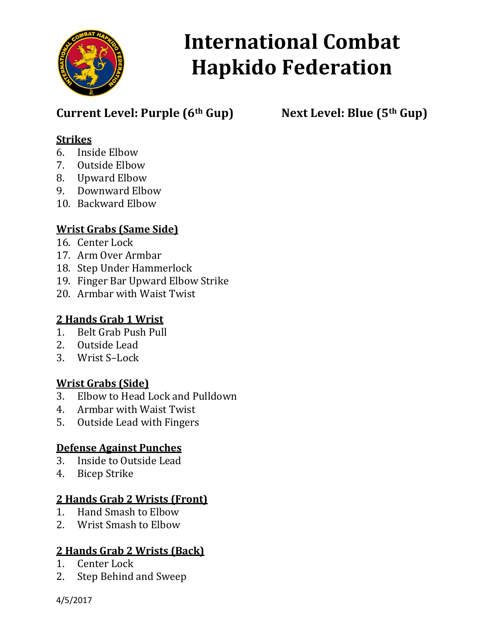

# Current Level: Purple  $(6<sup>th</sup> Gup)$  Next Level: Blue  $(5<sup>th</sup> Gup)$

#### Strikes

- 6. Inside Elbow
- 7. Outside Elbow
- 8. Upward Elbow
- 9. Downward Elbow
- 10. Backward Elbow

#### Wrist Grabs (Same Side)

- 16. Center Lock
- 17. Arm Over Armbar
- 18. Step Under Hammerlock
- 19. Finger Bar Upward Elbow Strike
- 20. Armbar with Waist Twist

#### 2 Hands Grab 1 Wrist

- 1. Belt Grab Push Pull
- 2. Outside Lead
- 3. Wrist S–Lock

#### Wrist Grabs (Side)

- 3. Elbow to Head Lock and Pulldown
- 4. Armbar with Waist Twist
- 5. Outside Lead with Fingers

#### Defense Against Punches

- 3. Inside to Outside Lead
- 4. Bicep Strike

#### 2 Hands Grab 2 Wrists (Front)

- 1. Hand Smash to Elbow
- 2. Wrist Smash to Elbow

#### 2 Hands Grab 2 Wrists (Back)

- 1. Center Lock
- 2. Step Behind and Sweep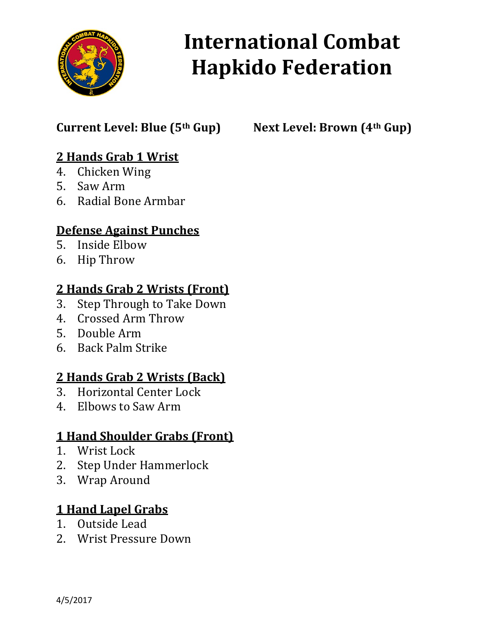

# Current Level: Blue (5<sup>th</sup> Gup) Next Level: Brown (4<sup>th</sup> Gup)

# 2 Hands Grab 1 Wrist

- 4. Chicken Wing
- 5. Saw Arm
- 6. Radial Bone Armbar

### Defense Against Punches

- 5. Inside Elbow
- 6. Hip Throw

#### 2 Hands Grab 2 Wrists (Front)

- 3. Step Through to Take Down
- 4. Crossed Arm Throw
- 5. Double Arm
- 6. Back Palm Strike

### 2 Hands Grab 2 Wrists (Back)

- 3. Horizontal Center Lock
- 4. Elbows to Saw Arm

# 1 Hand Shoulder Grabs (Front)

- 1. Wrist Lock
- 2. Step Under Hammerlock
- 3. Wrap Around

### 1 Hand Lapel Grabs

- 1. Outside Lead
- 2. Wrist Pressure Down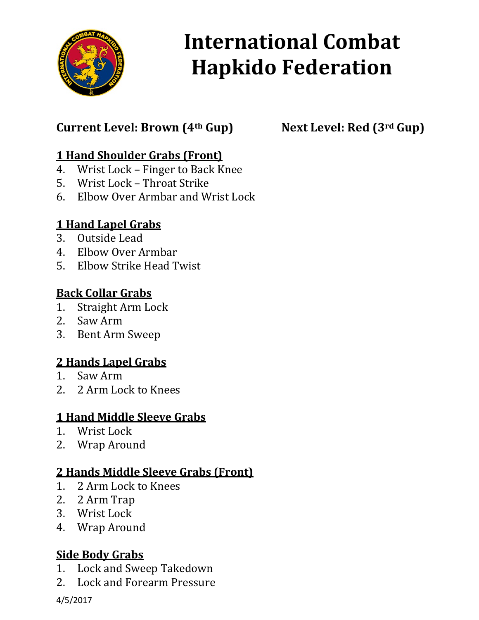

# Current Level: Brown (4<sup>th</sup> Gup) Next Level: Red (3<sup>rd</sup> Gup)

### 1 Hand Shoulder Grabs (Front)

- 4. Wrist Lock Finger to Back Knee
- 5. Wrist Lock Throat Strike
- 6. Elbow Over Armbar and Wrist Lock

#### 1 Hand Lapel Grabs

- 3. Outside Lead
- 4. Elbow Over Armbar
- 5. Elbow Strike Head Twist

#### Back Collar Grabs

- 1. Straight Arm Lock
- 2. Saw Arm
- 3. Bent Arm Sweep

#### 2 Hands Lapel Grabs

- 1. Saw Arm
- 2. 2 Arm Lock to Knees

#### 1 Hand Middle Sleeve Grabs

- 1. Wrist Lock
- 2. Wrap Around

#### 2 Hands Middle Sleeve Grabs (Front)

- 1. 2 Arm Lock to Knees
- 2. 2 Arm Trap
- 3. Wrist Lock
- 4. Wrap Around

#### Side Body Grabs

- 1. Lock and Sweep Takedown
- 2. Lock and Forearm Pressure

4/5/2017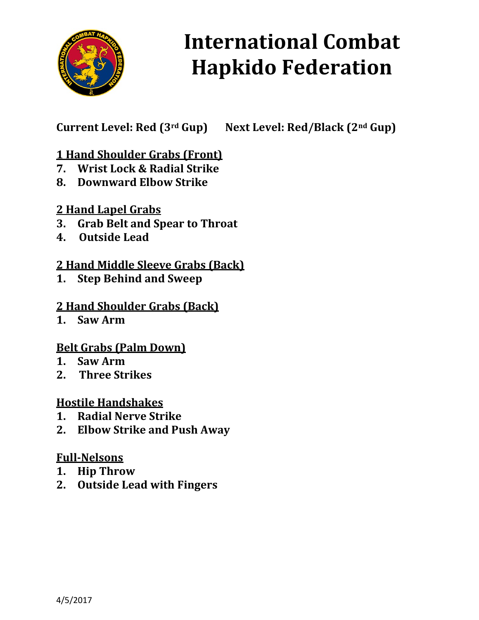

Current Level: Red (3rd Gup) Next Level: Red/Black (2nd Gup)

### 1 Hand Shoulder Grabs (Front)

- 7. Wrist Lock & Radial Strike
- 8. Downward Elbow Strike

#### 2 Hand Lapel Grabs

- 3. Grab Belt and Spear to Throat
- 4. Outside Lead

#### 2 Hand Middle Sleeve Grabs (Back)

1. Step Behind and Sweep

#### 2 Hand Shoulder Grabs (Back)

1. Saw Arm

#### Belt Grabs (Palm Down)

- 1. Saw Arm
- 2. Three Strikes

#### Hostile Handshakes

- 1. Radial Nerve Strike
- 2. Elbow Strike and Push Away

#### Full-Nelsons

- 1. Hip Throw
- 2. Outside Lead with Fingers